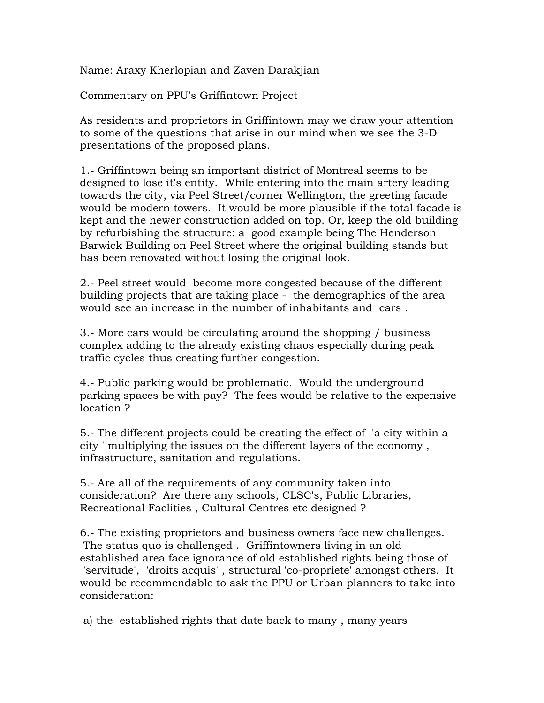Name: Araxy Kherlopian and Zaven Darakjian

Commentary on PPU's Griffintown Project

As residents and proprietors in Griffintown may we draw your attention to some of the questions that arise in our mind when we see the 3-D presentations of the proposed plans.

1.- Griffintown being an important district of Montreal seems to be designed to lose it's entity. While entering into the main artery leading towards the city, via Peel Street/corner Wellington, the greeting facade would be modern towers. It would be more plausible if the total facade is kept and the newer construction added on top. Or, keep the old building by refurbishing the structure: a good example being The Henderson Barwick Building on Peel Street where the original building stands but has been renovated without losing the original look.

2.- Peel street would become more congested because of the different building projects that are taking place - the demographics of the area would see an increase in the number of inhabitants and cars .

3.- More cars would be circulating around the shopping / business complex adding to the already existing chaos especially during peak traffic cycles thus creating further congestion.

4.- Public parking would be problematic. Would the underground parking spaces be with pay? The fees would be relative to the expensive location ?

5.- The different projects could be creating the effect of 'a city within a city ' multiplying the issues on the different layers of the economy , infrastructure, sanitation and regulations.

5.- Are all of the requirements of any community taken into consideration? Are there any schools, CLSC's, Public Libraries, Recreational Faclities , Cultural Centres etc designed ?

6.- The existing proprietors and business owners face new challenges. The status quo is challenged . Griffintowners living in an old established area face ignorance of old established rights being those of 'servitude', 'droits acquis' , structural 'co-propriete' amongst others. It would be recommendable to ask the PPU or Urban planners to take into consideration:

a) the established rights that date back to many , many years